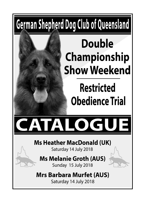# German Shepherd Dog Club of Queensland

## **Double Championship Show Weekend**

# **Restricted Obedience Trial**



### **Ms Heather MacDonald (UK)**

Saturday 14 July 2018

## **Ms Melanie Groth (AUS)**



## **Mrs Barbara Murfet (AUS)**

Saturday 14 July 2018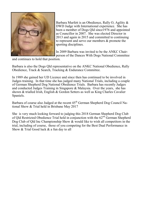

Barbara Murfett is an Obedience, Rally O, Agility & DWD Judge with International experience. She has been a member of Dogs Qld since1976 and appointed as Councillor in 2007. She was elected Director in 2013 and again in 2015 and committed to continuing to represent and serve our members & promote the sporting disciplines.

In 2009 Barbara was invited to be the ANKC Chairperson of the Dances With Dogs National Committee

and continues to hold that position.

Barbara is also the Dogs Qld representative on the ANKC National Obedience, Rally Obedience, Track & Search, Tracking & Endurance Committee.

In 1989 she gained her UD Licence and since then has continued to be involved in Judges training. In that time she has judged many National Trials, including a couple of German Shepherd Dog National Obedience Trials. Barbara has recently Judges and conducted Judges Training in Singapore & Malaysia. Over the years, she has shown & trialled Irish, English & Gordon Setters as well as King Charles Cavalier Spaniels.

Barbara of course also Judged at the recent  $45<sup>th</sup>$  German Shepherd Dog Council National Show & Trial held in Brisbane May 2017

She is very much looking forward to judging this 2018 German Shepherd Dog Club of Qld Restricted Obedience Trial held in conjunction with the 62<sup>nd</sup> German Shepherd Dog Club of Qld Inc Championship Show & would like to wish all competitors in the trial, including of course, those of you competing for the Best Dual Performance in Show & Trial Good luck & a fun day to all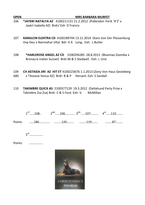**OPEN MRS BARBARA MURFET**

- 106 **\*JAYKRI NATALYA AZ** 4100211131 21.2.2012 (Pallendon Yorik 'A'Z' x Jaykri Isabella AZ) Brdr/ Exh D Francis
- 107 **KARALCIN ELEKTRA CD** 4100189744 13.11.2014 (Xaro Von Der Plassenburg Imp Deu x Nanmahar Ulla) Bdr: K A Long. Exh: L Butler
- 108 **\*HARLEROSE ANGEL AZ CD** 3100294285 28.8.2013 (Bluemax Zoomba x Bronacre Indian Sunset) Brdr:M & S Stedwell. Exh: J. Urie
- 109 **CH ASTASIA JIRI AZ HIT ET** 4100223676 1.1.2013 (Zony Von Haus Gesteberg
- ABS x \*Astasia Venus AZ) Brdr: B & P Hersant. Exh: S Sandall
- 110 **TAKIMBRE QUICK AS** 2100377129 19.3.2012 (Dellahund Party Prize x Takimbre Zsa Zsa) Brdr: C & S Ford. Exh: V. McMillan

|  | $1^{57}$ $108$ $2^{ND}$ $106$ $3^{RD}$ $107$ $4^{th}$ $110$ |  |
|--|-------------------------------------------------------------|--|
|  |                                                             |  |
|  |                                                             |  |

5th……………..

Points ………………

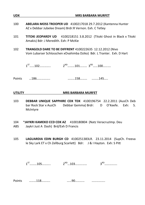| <b>UDX</b>     | <b>MRS BARBARA MURFET</b>                                                                                                                |  |  |
|----------------|------------------------------------------------------------------------------------------------------------------------------------------|--|--|
| 100            | ABELARA MOSS TROOPER UD 4100217018 29.7.2012 (Kantenna Hunter<br>AZ x Debbar Jubelee Dream) Brdr:R Vernon. Exh. C Tetley                 |  |  |
| 101            | TITOKI JEOPARDY UD 4100218151 3.8.2012 (Titoki Ghost in Black x Titoki<br>Amakis) Bdr: J Meredith. Exh: P McKie                          |  |  |
| 102            | <b>TRANGOLD DARE TO BE DIFFRENT 4100222635 12.12.2012 (Nivo</b><br>Vom Lubarser Schlosschen xOvahimba Dziko) Bdr. L Tranter. Exh. D Hart |  |  |
|                | $1^{57}$ $102$ $$ $$ $2^{ND}$ $$ $101$ $$ $3^{RD}$ $100$ $$ $$                                                                           |  |  |
|                |                                                                                                                                          |  |  |
| <b>UTILITY</b> | <b>MRS BARBARA MURFET</b>                                                                                                                |  |  |
| 103            | <b>DEBRAR UNIOUE SAPPHIRE CDX TDX</b> 4100196754 22.2.2011 (AusCh Deb                                                                    |  |  |

- 103 **DEBBAR UNIQUE SAPPHIRE CDX TDX** 4100196754 22.2.2011 (AusCh Deb bar Rock Star x AusCh Debbar Gemma) Brdr: D O'Keefe. Exh: S. McIntyre
- 104 \***JAYKRI KAMEKO CCD CDX AZ** 4100180804 (Natz VeracruzImp. Deu ABS Jaykri Just A Dash) Brd/Exh D Francis
- 105 **LAGUARDIA EDIN BURGH CD** 4100251383LR. 23.11.2014 (SupCh. Freeva le Sky Lark ET x Ch Zellburg Scarlett) Bdr: J & I Hayton. Exh: S Pitt

| د م<br>. ⊥∪ J<br>- | ۰NL | $\cdots$<br> |
|--------------------|-----|--------------|
| ____               |     |              |

| Points |  | ٦r<br>フ∪ |  |
|--------|--|----------|--|
|--------|--|----------|--|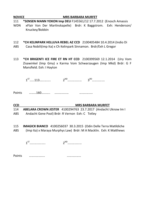| 111        | *SENSEN MANN YOKON Imp DEU F145561/12 17.7.2012 (Enosch Amassis                     |
|------------|-------------------------------------------------------------------------------------|
| <b>WDN</b> | xFlair Von Der Martinskapelle) Brdr: K Baggstrom. Exh: Henderson/<br>Knuckey/Bobbin |
| 112        | *CH KELINPARK HELLUVA REBEL AZ CCD 2100405484 10.4.2014 (Indio Di                   |

ABS Casa Nobili(imp Ita) x Ch Kelinpark Sinnamon. Brdr/Exh L Gregor

**NOVICE MRS BARBARA MURFET** 

113 **\*CH BRIGENTI ICE FIRE ET RN HT CCD** 2100399569 12.1.2014 (Ury Vom Zisawinkel (Imp Gmy) x Karma Vom Schwarzaugen (Imp Mkd) Brdr: G F Mansfeld. Exh: I Hayton

 $1^{57}$   $...113$   $...$   $...$   $2^{ND}$   $...$   $3^{RD}$   $...$   $...$   $...$   $...$ 

Points ………160……….. ……………… ……………..

### **CCD MRS BARBARA MURFET**

114 **ABELARA CROWN JESTER** 4100294763 23.7.2017 (Andacht Uknow Im I ABS Andacht Gene Pool) Brdr: R Vernon Exh: C Tetley

115 **IMAGICK BIANCO** 4100256037 30.3.2015 (Odin Delle Terra Matldiche ABS (Imp Ita) x Maraya Murphys Law) Brdr: M A Macklin. Exh: K Mathews

1ST……………….. 2ND………………

Points ……………….. ………………